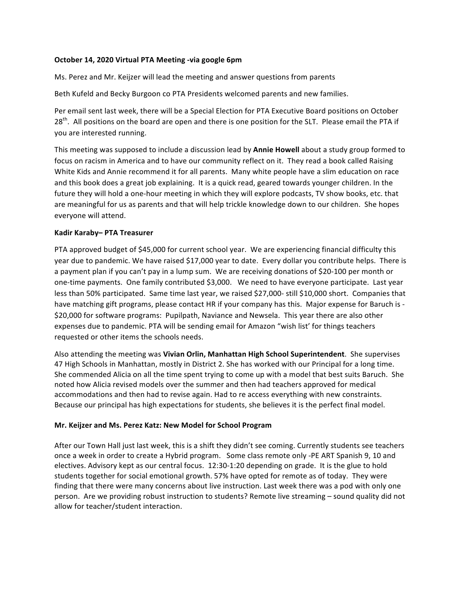## **October 14, 2020 Virtual PTA Meeting -via google 6pm**

Ms. Perez and Mr. Keijzer will lead the meeting and answer questions from parents

Beth Kufeld and Becky Burgoon co PTA Presidents welcomed parents and new families.

Per email sent last week, there will be a Special Election for PTA Executive Board positions on October 28<sup>th</sup>. All positions on the board are open and there is one position for the SLT. Please email the PTA if you are interested running.

This meeting was supposed to include a discussion lead by **Annie Howell** about a study group formed to focus on racism in America and to have our community reflect on it. They read a book called Raising White Kids and Annie recommend it for all parents. Many white people have a slim education on race and this book does a great job explaining. It is a quick read, geared towards younger children. In the future they will hold a one-hour meeting in which they will explore podcasts, TV show books, etc. that are meaningful for us as parents and that will help trickle knowledge down to our children. She hopes everyone will attend.

# **Kadir Karaby– PTA Treasurer**

PTA approved budget of \$45,000 for current school year. We are experiencing financial difficulty this year due to pandemic. We have raised \$17,000 year to date. Every dollar you contribute helps. There is a payment plan if you can't pay in a lump sum. We are receiving donations of \$20-100 per month or one-time payments. One family contributed \$3,000. We need to have everyone participate. Last year less than 50% participated. Same time last year, we raised \$27,000- still \$10,000 short. Companies that have matching gift programs, please contact HR if your company has this. Major expense for Baruch is -\$20,000 for software programs: Pupilpath, Naviance and Newsela. This year there are also other expenses due to pandemic. PTA will be sending email for Amazon "wish list' for things teachers requested or other items the schools needs.

Also attending the meeting was Vivian Orlin, Manhattan High School Superintendent. She supervises 47 High Schools in Manhattan, mostly in District 2. She has worked with our Principal for a long time. She commended Alicia on all the time spent trying to come up with a model that best suits Baruch. She noted how Alicia revised models over the summer and then had teachers approved for medical accommodations and then had to revise again. Had to re access everything with new constraints. Because our principal has high expectations for students, she believes it is the perfect final model.

## **Mr. Keijzer and Ms. Perez Katz: New Model for School Program**

After our Town Hall just last week, this is a shift they didn't see coming. Currently students see teachers once a week in order to create a Hybrid program. Some class remote only -PE ART Spanish 9, 10 and electives. Advisory kept as our central focus. 12:30-1:20 depending on grade. It is the glue to hold students together for social emotional growth. 57% have opted for remote as of today. They were finding that there were many concerns about live instruction. Last week there was a pod with only one person. Are we providing robust instruction to students? Remote live streaming – sound quality did not allow for teacher/student interaction.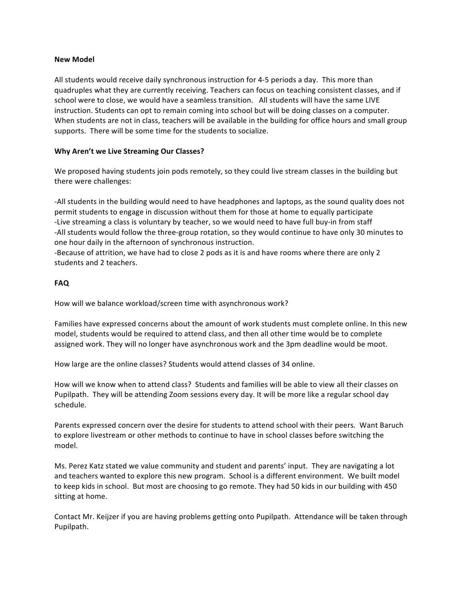#### **New Model**

All students would receive daily synchronous instruction for 4-5 periods a day. This more than quadruples what they are currently receiving. Teachers can focus on teaching consistent classes, and if school were to close, we would have a seamless transition. All students will have the same LIVE instruction. Students can opt to remain coming into school but will be doing classes on a computer. When students are not in class, teachers will be available in the building for office hours and small group supports. There will be some time for the students to socialize.

## **Why Aren't we Live Streaming Our Classes?**

We proposed having students join pods remotely, so they could live stream classes in the building but there were challenges:

-All students in the building would need to have headphones and laptops, as the sound quality does not permit students to engage in discussion without them for those at home to equally participate -Live streaming a class is voluntary by teacher, so we would need to have full buy-in from staff -All students would follow the three-group rotation, so they would continue to have only 30 minutes to one hour daily in the afternoon of synchronous instruction.

-Because of attrition, we have had to close 2 pods as it is and have rooms where there are only 2 students and 2 teachers.

### **FAQ**

How will we balance workload/screen time with asynchronous work?

Families have expressed concerns about the amount of work students must complete online. In this new model, students would be required to attend class, and then all other time would be to complete assigned work. They will no longer have asynchronous work and the 3pm deadline would be moot.

How large are the online classes? Students would attend classes of 34 online.

How will we know when to attend class? Students and families will be able to view all their classes on Pupilpath. They will be attending Zoom sessions every day. It will be more like a regular school day schedule.

Parents expressed concern over the desire for students to attend school with their peers. Want Baruch to explore livestream or other methods to continue to have in school classes before switching the model.

Ms. Perez Katz stated we value community and student and parents' input. They are navigating a lot and teachers wanted to explore this new program. School is a different environment. We built model to keep kids in school. But most are choosing to go remote. They had 50 kids in our building with 450 sitting at home.

Contact Mr. Keijzer if you are having problems getting onto Pupilpath. Attendance will be taken through Pupilpath.